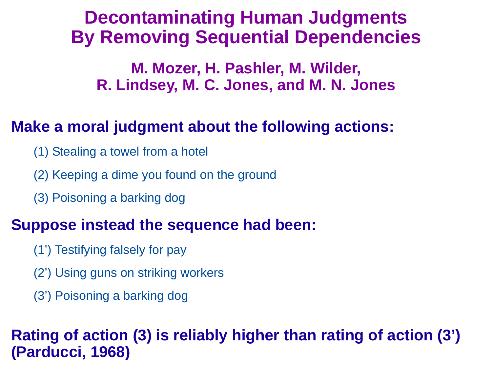# **Decontaminating Human JudgmentsBy Removing Sequential Dependencies**

**M. Mozer, H. Pashler, M. Wilder, R. Lindsey, M. C. Jones, and M. N. Jones**

### **Make a moral judgment about the following actions:**

- (1) Stealing a towel from a hotel
- (2) Keeping a dime you found on the ground
- (3) Poisoning a barking dog

### **Suppose instead the sequence had been:**

- (1') Testifying falsely for pay
- (2') Using guns on striking workers
- (3') Poisoning a barking dog

## **Rating of action (3) is reliably higher than rating of action (3') (Parducci, 1968)**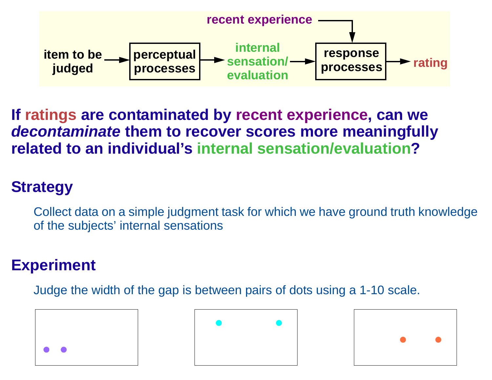

**If ratings are contaminated by recent experience, can we decontaminate them to recover scores more meaningfully related to an individual's internal sensation/evaluation?**

## **Strategy**

Collect data on a simple judgment task for which we have ground truth knowledge of the subjects' internal sensations

#### **Experiment**

Judge the width of the gap is between pairs of dots using a 1-10 scale.

| $\bullet$ |  |  |
|-----------|--|--|



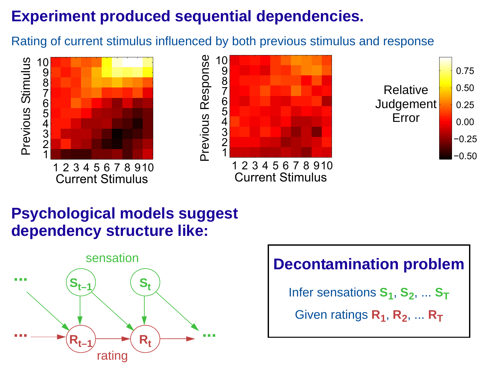# **Experiment produced sequential dependencies.**

Rating of current stimulus influenced by both previous stimulus and response



## **Psychological models suggestdependency structure like:**